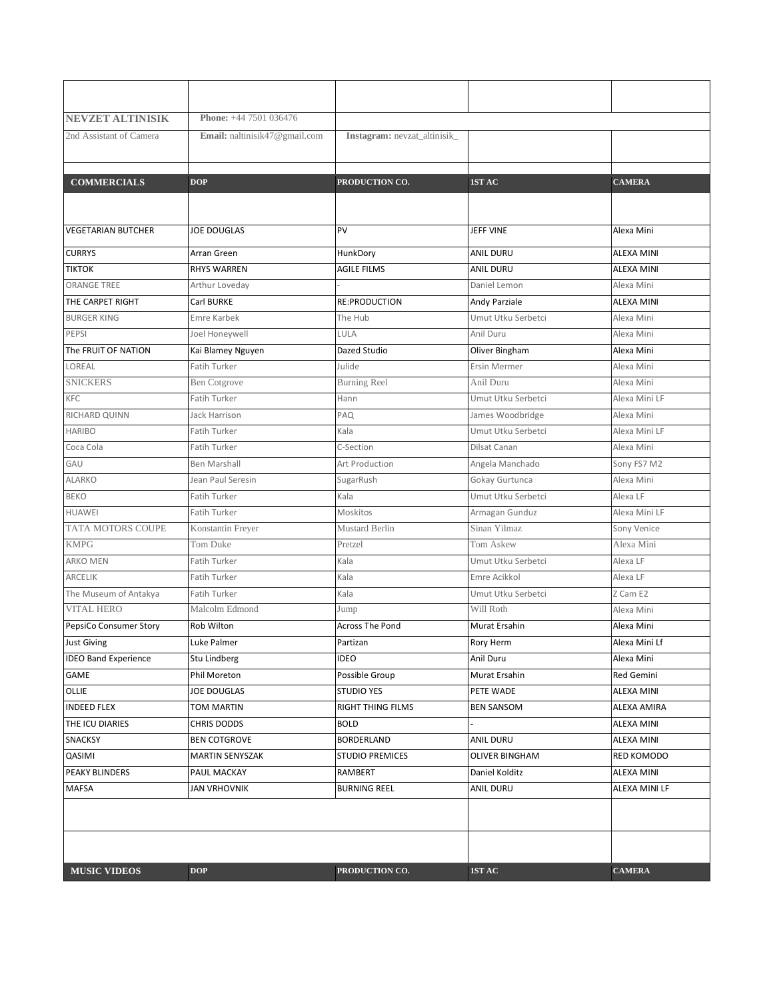| <b>NEVZET ALTINISIK</b>     | Phone: +44 7501 036476        |                              |                       |                   |
|-----------------------------|-------------------------------|------------------------------|-----------------------|-------------------|
| 2nd Assistant of Camera     | Email: naltinisik47@gmail.com | Instagram: nevzat_altinisik_ |                       |                   |
|                             |                               |                              |                       |                   |
| <b>COMMERCIALS</b>          | <b>DOP</b>                    | PRODUCTION CO.               | 1ST AC                | <b>CAMERA</b>     |
|                             |                               |                              |                       |                   |
|                             |                               |                              |                       |                   |
| <b>VEGETARIAN BUTCHER</b>   | <b>JOE DOUGLAS</b>            | PV                           | JEFF VINE             | Alexa Mini        |
| <b>CURRYS</b>               | Arran Green                   | HunkDory                     | <b>ANIL DURU</b>      | <b>ALEXA MINI</b> |
| <b>TIKTOK</b>               | <b>RHYS WARREN</b>            | <b>AGILE FILMS</b>           | <b>ANIL DURU</b>      | <b>ALEXA MINI</b> |
| <b>ORANGE TREE</b>          | Arthur Loveday                |                              | Daniel Lemon          | Alexa Mini        |
| THE CARPET RIGHT            | Carl BURKE                    | <b>RE:PRODUCTION</b>         | Andy Parziale         | <b>ALEXA MINI</b> |
| <b>BURGER KING</b>          | Emre Karbek                   | The Hub                      | Umut Utku Serbetci    | Alexa Mini        |
| PEPSI                       | Joel Honeywell                | LULA                         | Anil Duru             | Alexa Mini        |
| The FRUIT OF NATION         | Kai Blamey Nguyen             | Dazed Studio                 | Oliver Bingham        | Alexa Mini        |
| LOREAL                      | <b>Fatih Turker</b>           | Julide                       | <b>Ersin Mermer</b>   | Alexa Mini        |
| <b>SNICKERS</b>             | <b>Ben Cotgrove</b>           | <b>Burning Reel</b>          | Anil Duru             | Alexa Mini        |
| KFC                         | Fatih Turker                  | Hann                         | Umut Utku Serbetci    | Alexa Mini LF     |
| RICHARD QUINN               | Jack Harrison                 | PAQ                          | James Woodbridge      | Alexa Mini        |
| <b>HARIBO</b>               | <b>Fatih Turker</b>           | Kala                         | Umut Utku Serbetci    | Alexa Mini LF     |
| Coca Cola                   | Fatih Turker                  | C-Section                    | Dilsat Canan          | Alexa Mini        |
| GAU                         | <b>Ben Marshall</b>           | Art Production               | Angela Manchado       | Sony FS7 M2       |
| ALARKO                      | Jean Paul Seresin             | SugarRush                    | Gokay Gurtunca        | Alexa Mini        |
| <b>BEKO</b>                 | Fatih Turker                  | Kala                         | Umut Utku Serbetci    | Alexa LF          |
| <b>HUAWEI</b>               | Fatih Turker                  | Moskitos                     | Armagan Gunduz        | Alexa Mini LF     |
| TATA MOTORS COUPE           | Konstantin Freyer             | Mustard Berlin               | Sinan Yilmaz          | Sony Venice       |
| <b>KMPG</b>                 | Tom Duke                      | Pretzel                      | Tom Askew             | Alexa Mini        |
| <b>ARKO MEN</b>             | Fatih Turker                  | Kala                         | Umut Utku Serbetci    | Alexa LF          |
| ARCELIK                     | Fatih Turker                  | Kala                         | Emre Acikkol          | Alexa LF          |
| The Museum of Antakya       | Fatih Turker                  | Kala                         | Umut Utku Serbetci    | Z Cam E2          |
| <b>VITAL HERO</b>           | Malcolm Edmond                | Jump                         | Will Roth             | Alexa Mini        |
| PepsiCo Consumer Story      | Rob Wilton                    | <b>Across The Pond</b>       | Murat Ersahin         | Alexa Mini        |
| <b>Just Giving</b>          | Luke Palmer                   | Partizan                     | Rory Herm             | Alexa Mini Lf     |
| <b>IDEO Band Experience</b> | Stu Lindberg                  | <b>IDEO</b>                  | Anil Duru             | Alexa Mini        |
| GAME                        | Phil Moreton                  | Possible Group               | Murat Ersahin         | Red Gemini        |
| OLLIE                       | JOE DOUGLAS                   | <b>STUDIO YES</b>            | PETE WADE             | ALEXA MINI        |
| <b>INDEED FLEX</b>          | TOM MARTIN                    | <b>RIGHT THING FILMS</b>     | <b>BEN SANSOM</b>     | ALEXA AMIRA       |
| THE ICU DIARIES             | CHRIS DODDS                   | <b>BOLD</b>                  |                       | <b>ALEXA MINI</b> |
| SNACKSY                     | <b>BEN COTGROVE</b>           | BORDERLAND                   | <b>ANIL DURU</b>      | ALEXA MINI        |
| QASIMI                      | <b>MARTIN SENYSZAK</b>        | <b>STUDIO PREMICES</b>       | <b>OLIVER BINGHAM</b> | RED KOMODO        |
| PEAKY BLINDERS              | PAUL MACKAY                   | RAMBERT                      | Daniel Kolditz        | ALEXA MINI        |
| <b>MAFSA</b>                | <b>JAN VRHOVNIK</b>           | <b>BURNING REEL</b>          | <b>ANIL DURU</b>      | ALEXA MINI LF     |
|                             |                               |                              |                       |                   |
|                             |                               |                              |                       |                   |
|                             |                               |                              |                       |                   |
| <b>MUSIC VIDEOS</b>         | <b>DOP</b>                    | PRODUCTION CO.               | 1ST AC                | <b>CAMERA</b>     |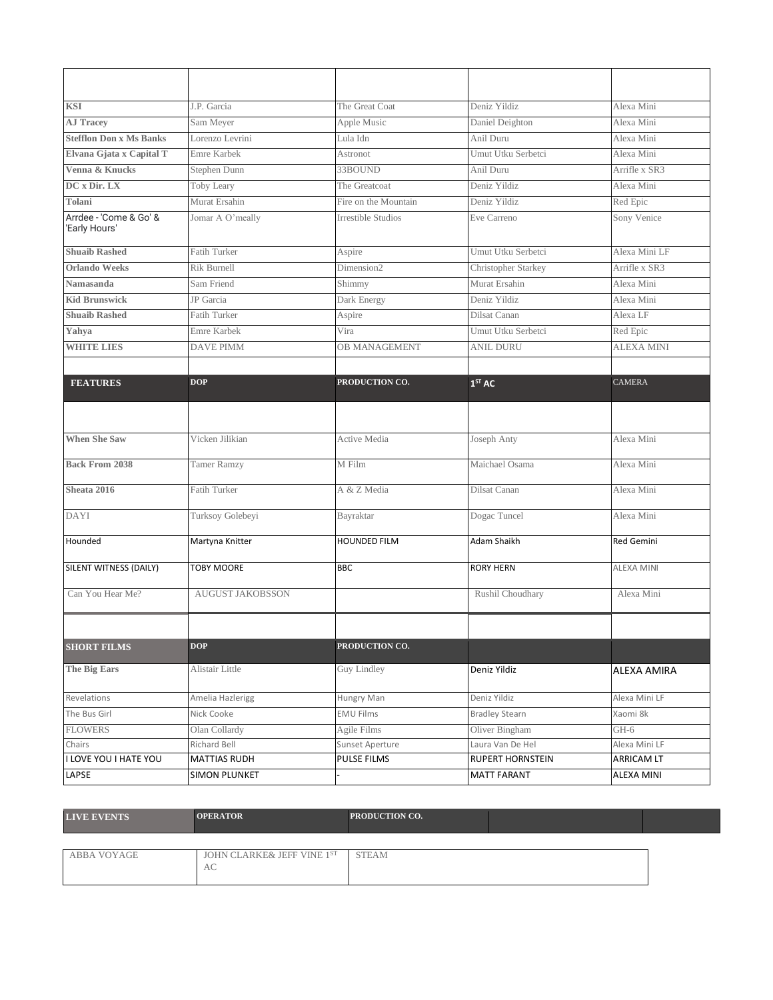| <b>KSI</b>                              | J.P. Garcia             | The Great Coat            | Deniz Yildiz          | Alexa Mini        |
|-----------------------------------------|-------------------------|---------------------------|-----------------------|-------------------|
| <b>AJ Tracev</b>                        | Sam Meyer               | Apple Music               | Daniel Deighton       | Alexa Mini        |
| <b>Stefflon Don x Ms Banks</b>          | Lorenzo Levrini         | Lula Idn                  | Anil Duru             | Alexa Mini        |
| Elvana Gjata x Capital T                | Emre Karbek             | Astronot                  | Umut Utku Serbetci    | Alexa Mini        |
| Venna & Knucks                          | Stephen Dunn            | 33BOUND                   | Anil Duru             | Arrifle x SR3     |
| DC x Dir. LX                            | Toby Leary              | The Greatcoat             | Deniz Yildiz          | Alexa Mini        |
| Tolani                                  | Murat Ersahin           | Fire on the Mountain      | Deniz Yildiz          | Red Epic          |
| Arrdee - 'Come & Go' &<br>'Early Hours' | Jomar A O'meally        | <b>Irrestible Studios</b> | Eve Carreno           | Sony Venice       |
| <b>Shuaib Rashed</b>                    | Fatih Turker            | Aspire                    | Umut Utku Serbetci    | Alexa Mini LF     |
| <b>Orlando Weeks</b>                    | Rik Burnell             | Dimension2                | Christopher Starkey   | Arrifle x SR3     |
| Namasanda                               | Sam Friend              | Shimmy                    | Murat Ersahin         | Alexa Mini        |
| <b>Kid Brunswick</b>                    | JP Garcia               | Dark Energy               | Deniz Yildiz          | Alexa Mini        |
| <b>Shuaib Rashed</b>                    | <b>Fatih Turker</b>     | Aspire                    | Dilsat Canan          | Alexa LF          |
| Yahya                                   | Emre Karbek             | Vira                      | Umut Utku Serbetci    | Red Epic          |
| <b>WHITE LIES</b>                       | <b>DAVE PIMM</b>        | <b>OB MANAGEMENT</b>      | <b>ANIL DURU</b>      | <b>ALEXA MINI</b> |
|                                         |                         |                           |                       |                   |
| <b>FEATURES</b>                         | <b>DOP</b>              | PRODUCTION CO.            | 1 <sup>ST</sup> AC    | <b>CAMERA</b>     |
|                                         |                         |                           |                       |                   |
|                                         |                         |                           |                       |                   |
| <b>When She Saw</b>                     | Vicken Jilikian         | Active Media              | Joseph Anty           | Alexa Mini        |
| <b>Back From 2038</b>                   | <b>Tamer Ramzy</b>      | M Film                    | Maichael Osama        | Alexa Mini        |
| Sheata 2016                             | <b>Fatih Turker</b>     | A & Z Media               | Dilsat Canan          | Alexa Mini        |
| <b>DAYI</b>                             | Turksoy Golebeyi        | Bayraktar                 | Dogac Tuncel          | Alexa Mini        |
| Hounded                                 | Martyna Knitter         | <b>HOUNDED FILM</b>       | Adam Shaikh           | Red Gemini        |
| SILENT WITNESS (DAILY)                  | <b>TOBY MOORE</b>       | <b>BBC</b>                | <b>RORY HERN</b>      | <b>ALEXA MINI</b> |
| Can You Hear Me?                        | <b>AUGUST JAKOBSSON</b> |                           | Rushil Choudhary      | Alexa Mini        |
|                                         |                         |                           |                       |                   |
| <b>SHORT FILMS</b>                      | <b>DOP</b>              | PRODUCTION CO.            |                       |                   |
| <b>The Big Ears</b>                     | Alistair Little         | Guy Lindley               | Deniz Yildiz          | ALEXA AMIRA       |
| Revelations                             | Amelia Hazlerigg        | Hungry Man                | Deniz Yildiz          | Alexa Mini LF     |
| The Bus Girl                            | Nick Cooke              | <b>EMU Films</b>          | <b>Bradley Stearn</b> | Xaomi 8k          |
| <b>FLOWERS</b>                          | Olan Collardy           | Agile Films               | Oliver Bingham        | GH-6              |
| Chairs                                  | Richard Bell            | Sunset Aperture           | Laura Van De Hel      | Alexa Mini LF     |
| I LOVE YOU I HATE YOU                   | <b>MATTIAS RUDH</b>     | PULSE FILMS               | RUPERT HORNSTEIN      | ARRICAM LT        |
| LAPSE                                   | <b>SIMON PLUNKET</b>    |                           | <b>MATT FARANT</b>    | ALEXA MINI        |

| <b>LIVE EVENTS</b> | <b>OPERATOR</b>                              | <b>PRODUCTION CO.</b> |  |
|--------------------|----------------------------------------------|-----------------------|--|
|                    |                                              |                       |  |
| ABBA VOYAGE        | JOHN CLARKE& JEFF VINE 1 <sup>ST</sup><br>АC | <b>STEAM</b>          |  |